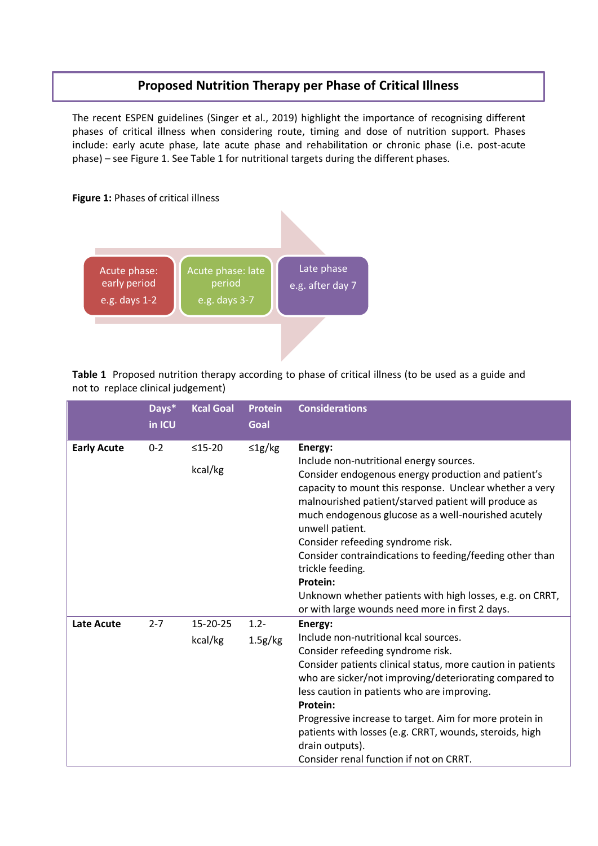## **Proposed Nutrition Therapy per Phase of Critical Illness**

The recent ESPEN guidelines (Singer et al., 2019) highlight the importance of recognising different phases of critical illness when considering route, timing and dose of nutrition support. Phases include: early acute phase, late acute phase and rehabilitation or chronic phase (i.e. post-acute phase) – see Figure 1. See Table 1 for nutritional targets during the different phases.



**Table 1** Proposed nutrition therapy according to phase of critical illness (to be used as a guide and not to replace clinical judgement)

|                    | Days*<br>in ICU | <b>Kcal Goal</b>    | <b>Protein</b><br>Goal | <b>Considerations</b>                                                                                                                                                                                                                                                                                                                                                                                                                                                                                                                                  |
|--------------------|-----------------|---------------------|------------------------|--------------------------------------------------------------------------------------------------------------------------------------------------------------------------------------------------------------------------------------------------------------------------------------------------------------------------------------------------------------------------------------------------------------------------------------------------------------------------------------------------------------------------------------------------------|
| <b>Early Acute</b> | $0 - 2$         | $≤15-20$<br>kcal/kg | $\leq$ 1g/kg           | Energy:<br>Include non-nutritional energy sources.<br>Consider endogenous energy production and patient's<br>capacity to mount this response. Unclear whether a very<br>malnourished patient/starved patient will produce as<br>much endogenous glucose as a well-nourished acutely<br>unwell patient.<br>Consider refeeding syndrome risk.<br>Consider contraindications to feeding/feeding other than<br>trickle feeding.<br>Protein:<br>Unknown whether patients with high losses, e.g. on CRRT,<br>or with large wounds need more in first 2 days. |
| <b>Late Acute</b>  | $2 - 7$         | 15-20-25<br>kcal/kg | $1.2 -$<br>1.5g/kg     | Energy:<br>Include non-nutritional kcal sources.<br>Consider refeeding syndrome risk.<br>Consider patients clinical status, more caution in patients<br>who are sicker/not improving/deteriorating compared to<br>less caution in patients who are improving.<br>Protein:<br>Progressive increase to target. Aim for more protein in<br>patients with losses (e.g. CRRT, wounds, steroids, high<br>drain outputs).<br>Consider renal function if not on CRRT.                                                                                          |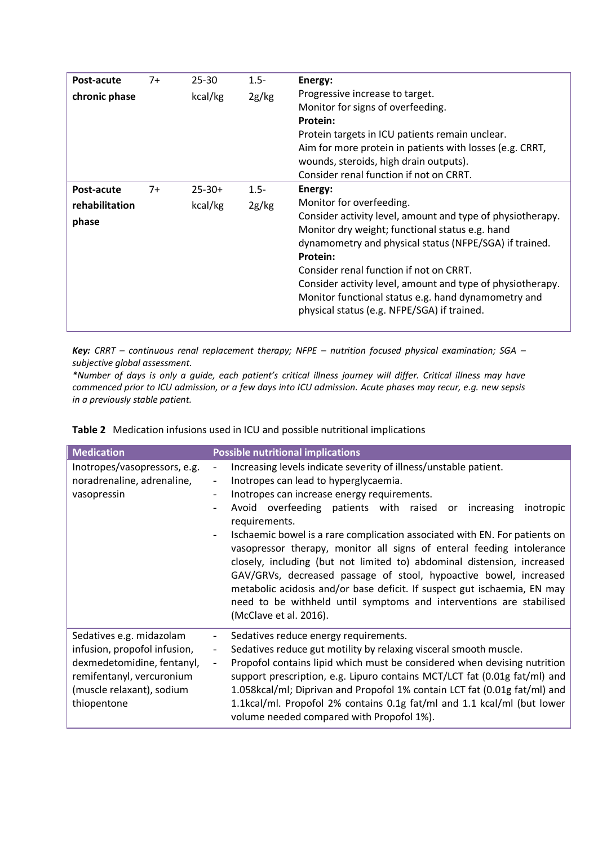| Post-acute     | $7+$ | $25 - 30$   | $1.5 -$ | Energy:                                                    |
|----------------|------|-------------|---------|------------------------------------------------------------|
| chronic phase  |      | kcal/kg     | 2g/kg   | Progressive increase to target.                            |
|                |      |             |         | Monitor for signs of overfeeding.                          |
|                |      |             |         | Protein:                                                   |
|                |      |             |         | Protein targets in ICU patients remain unclear.            |
|                |      |             |         | Aim for more protein in patients with losses (e.g. CRRT,   |
|                |      |             |         | wounds, steroids, high drain outputs).                     |
|                |      |             |         | Consider renal function if not on CRRT.                    |
| Post-acute     | $7+$ | $25 - 30 +$ | $1.5 -$ | Energy:                                                    |
| rehabilitation |      | kcal/kg     | 2g/kg   | Monitor for overfeeding.                                   |
| phase          |      |             |         | Consider activity level, amount and type of physiotherapy. |
|                |      |             |         | Monitor dry weight; functional status e.g. hand            |
|                |      |             |         | dynamometry and physical status (NFPE/SGA) if trained.     |
|                |      |             |         | Protein:                                                   |
|                |      |             |         | Consider renal function if not on CRRT.                    |
|                |      |             |         | Consider activity level, amount and type of physiotherapy. |
|                |      |             |         | Monitor functional status e.g. hand dynamometry and        |
|                |      |             |         | physical status (e.g. NFPE/SGA) if trained.                |
|                |      |             |         |                                                            |

*Key: CRRT – continuous renal replacement therapy; NFPE – nutrition focused physical examination; SGA – subjective global assessment.*

*\*Number of days is only a guide, each patient's critical illness journey will differ. Critical illness may have commenced prior to ICU admission, or a few days into ICU admission. Acute phases may recur, e.g. new sepsis in a previously stable patient.*

|  |  |  | Table 2 Medication infusions used in ICU and possible nutritional implications |
|--|--|--|--------------------------------------------------------------------------------|
|  |  |  |                                                                                |

| <b>Medication</b>                                                                                                                                               | <b>Possible nutritional implications</b>                                                                                                                                                                                                                                                                                                                                                                                                                                                                                                                                                                                                                                                                                                                                                                     |
|-----------------------------------------------------------------------------------------------------------------------------------------------------------------|--------------------------------------------------------------------------------------------------------------------------------------------------------------------------------------------------------------------------------------------------------------------------------------------------------------------------------------------------------------------------------------------------------------------------------------------------------------------------------------------------------------------------------------------------------------------------------------------------------------------------------------------------------------------------------------------------------------------------------------------------------------------------------------------------------------|
| Inotropes/vasopressors, e.g.<br>noradrenaline, adrenaline,<br>vasopressin                                                                                       | Increasing levels indicate severity of illness/unstable patient.<br>$\overline{\phantom{a}}$<br>Inotropes can lead to hyperglycaemia.<br>$\overline{\phantom{a}}$<br>Inotropes can increase energy requirements.<br>Avoid overfeeding patients with raised or increasing<br>inotropic<br>$\blacksquare$<br>requirements.<br>Ischaemic bowel is a rare complication associated with EN. For patients on<br>vasopressor therapy, monitor all signs of enteral feeding intolerance<br>closely, including (but not limited to) abdominal distension, increased<br>GAV/GRVs, decreased passage of stool, hypoactive bowel, increased<br>metabolic acidosis and/or base deficit. If suspect gut ischaemia, EN may<br>need to be withheld until symptoms and interventions are stabilised<br>(McClave et al. 2016). |
| Sedatives e.g. midazolam<br>infusion, propofol infusion,<br>dexmedetomidine, fentanyl,<br>remifentanyl, vercuronium<br>(muscle relaxant), sodium<br>thiopentone | Sedatives reduce energy requirements.<br>Sedatives reduce gut motility by relaxing visceral smooth muscle.<br>$\overline{\phantom{a}}$<br>Propofol contains lipid which must be considered when devising nutrition<br>$\overline{\phantom{a}}$<br>support prescription, e.g. Lipuro contains MCT/LCT fat (0.01g fat/ml) and<br>1.058kcal/ml; Diprivan and Propofol 1% contain LCT fat (0.01g fat/ml) and<br>1.1kcal/ml. Propofol 2% contains 0.1g fat/ml and 1.1 kcal/ml (but lower<br>volume needed compared with Propofol 1%).                                                                                                                                                                                                                                                                             |